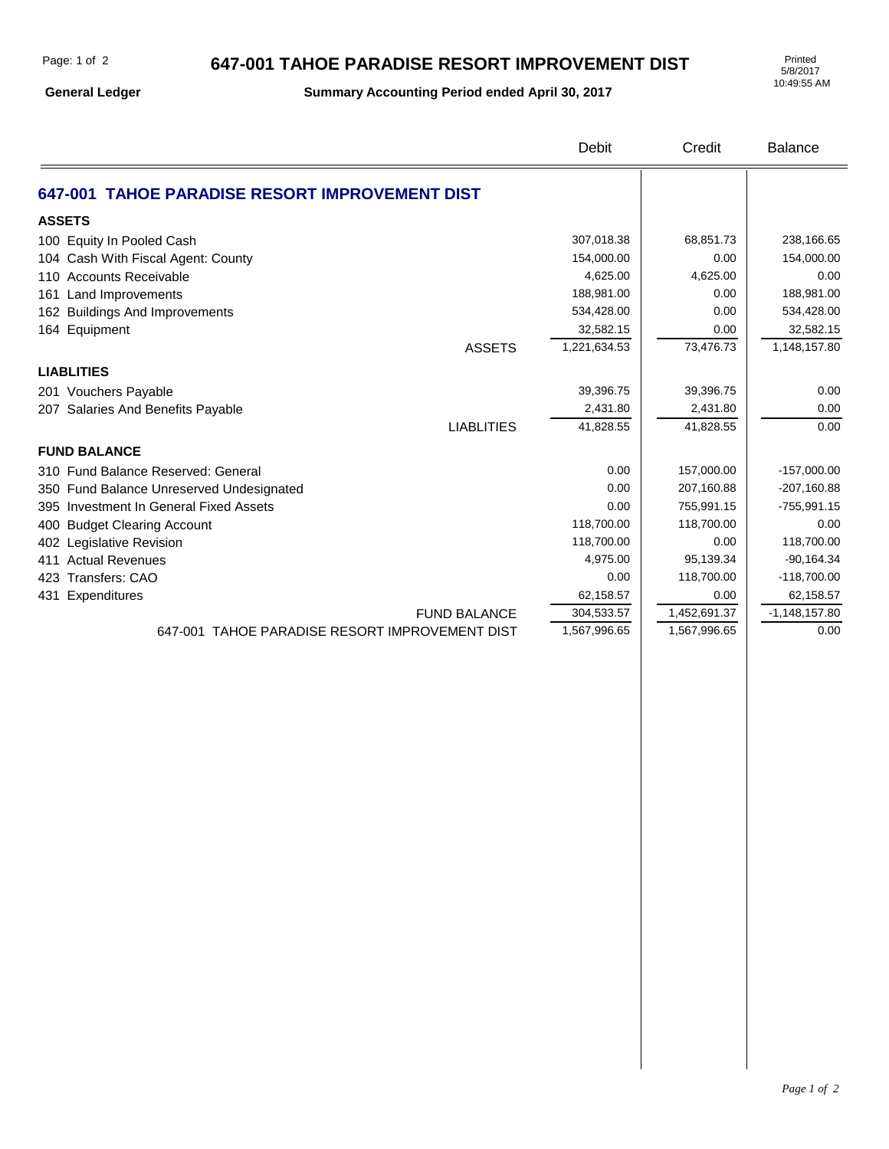## **647-001 TAHOE PARADISE RESORT IMPROVEMENT DIST**

**General Ledger**

**Summary Accounting Period ended April 30, 2017**

5/8/2017 10:49:55 AM

|                                                | Debit                      | Credit                       | <b>Balance</b>          |
|------------------------------------------------|----------------------------|------------------------------|-------------------------|
| 647-001 TAHOE PARADISE RESORT IMPROVEMENT DIST |                            |                              |                         |
| <b>ASSETS</b>                                  |                            |                              |                         |
| 100 Equity In Pooled Cash                      | 307,018.38                 | 68,851.73                    | 238,166.65              |
| 104 Cash With Fiscal Agent: County             | 154,000.00                 | 0.00                         | 154,000.00              |
| 110 Accounts Receivable                        | 4,625.00                   | 4,625.00                     | 0.00                    |
| 161 Land Improvements                          | 188,981.00                 | 0.00                         | 188,981.00              |
| 162 Buildings And Improvements                 | 534,428.00                 | 0.00                         | 534,428.00              |
| 164 Equipment                                  | 32,582.15                  | 0.00                         | 32,582.15               |
| <b>ASSETS</b>                                  | 1,221,634.53               | 73,476.73                    | 1,148,157.80            |
| <b>LIABLITIES</b>                              |                            |                              |                         |
| 201 Vouchers Payable                           | 39,396.75                  | 39,396.75                    | 0.00                    |
| 207 Salaries And Benefits Payable              | 2,431.80                   | 2,431.80                     | 0.00                    |
| <b>LIABLITIES</b>                              | 41,828.55                  | 41,828.55                    | 0.00                    |
| <b>FUND BALANCE</b>                            |                            |                              |                         |
| 310 Fund Balance Reserved: General             | 0.00                       | 157,000.00                   | $-157,000.00$           |
| 350 Fund Balance Unreserved Undesignated       | 0.00                       | 207,160.88                   | $-207,160.88$           |
| 395 Investment In General Fixed Assets         | 0.00                       | 755,991.15                   | $-755,991.15$           |
| 400 Budget Clearing Account                    | 118,700.00                 | 118,700.00                   | 0.00                    |
| 402 Legislative Revision                       | 118,700.00                 | 0.00                         | 118,700.00              |
| 411 Actual Revenues                            | 4,975.00                   | 95,139.34                    | $-90,164.34$            |
| 423 Transfers: CAO                             | 0.00                       | 118,700.00                   | $-118,700.00$           |
| 431 Expenditures                               | 62,158.57                  | 0.00                         | 62,158.57               |
| <b>FUND BALANCE</b>                            | 304,533.57<br>1,567,996.65 | 1,452,691.37<br>1,567,996.65 | $-1,148,157.80$<br>0.00 |
| 647-001 TAHOE PARADISE RESORT IMPROVEMENT DIST |                            |                              |                         |
|                                                |                            |                              |                         |
|                                                |                            |                              |                         |
|                                                |                            |                              |                         |
|                                                |                            |                              |                         |
|                                                |                            |                              |                         |
|                                                |                            |                              |                         |
|                                                |                            |                              |                         |
|                                                |                            |                              |                         |
|                                                |                            |                              |                         |
|                                                |                            |                              |                         |
|                                                |                            |                              |                         |
|                                                |                            |                              |                         |
|                                                |                            |                              |                         |
|                                                |                            |                              |                         |
|                                                |                            |                              |                         |
|                                                |                            |                              |                         |
|                                                |                            |                              |                         |
|                                                |                            |                              |                         |
|                                                |                            |                              |                         |
|                                                |                            |                              |                         |
|                                                |                            |                              |                         |
|                                                |                            |                              |                         |
|                                                |                            |                              |                         |